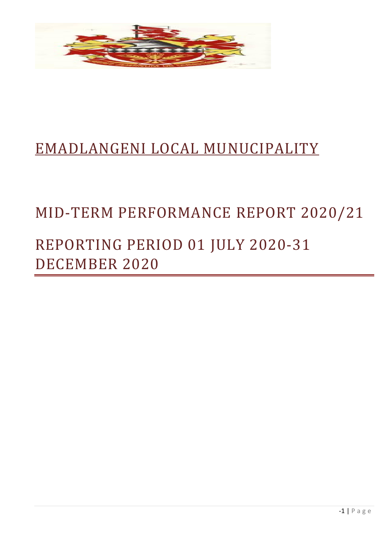

# EMADLANGENI LOCAL MUNUCIPALITY

### MID-TERM PERFORMANCE REPORT 2020/21

## REPORTING PERIOD 01 JULY 2020-31 DECEMBER 2020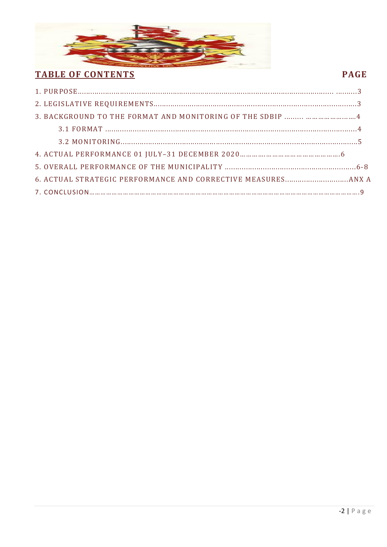

### **TABLE OF CONTENTS**

### **PAGE**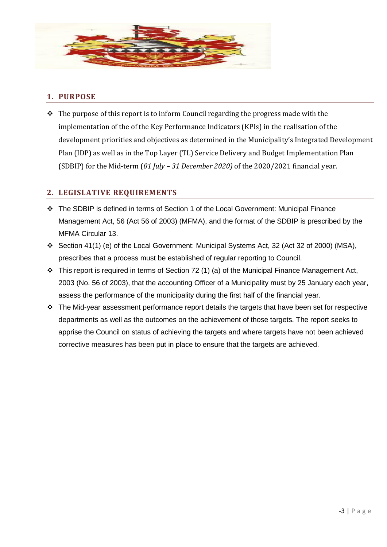

#### **1. PURPOSE**

 $\cdot \cdot$  The purpose of this report is to inform Council regarding the progress made with the implementation of the of the Key Performance Indicators (KPIs) in the realisation of the development priorities and objectives as determined in the Municipality's Integrated Development Plan (IDP) as well as in the Top Layer (TL) Service Delivery and Budget Implementation Plan (SDBIP) for the Mid-term (*01 July – 31 December 2020)* of the 2020/2021 financial year.

#### **2. LEGISLATIVE REQUIREMENTS**

- The SDBIP is defined in terms of Section 1 of the Local Government: Municipal Finance Management Act, 56 (Act 56 of 2003) (MFMA), and the format of the SDBIP is prescribed by the MFMA Circular 13.
- Section 41(1) (e) of the Local Government: Municipal Systems Act, 32 (Act 32 of 2000) (MSA), prescribes that a process must be established of regular reporting to Council.
- $\cdot \cdot$  This report is required in terms of Section 72 (1) (a) of the Municipal Finance Management Act, 2003 (No. 56 of 2003), that the accounting Officer of a Municipality must by 25 January each year, assess the performance of the municipality during the first half of the financial year.
- $\cdot \cdot$  The Mid-year assessment performance report details the targets that have been set for respective departments as well as the outcomes on the achievement of those targets. The report seeks to apprise the Council on status of achieving the targets and where targets have not been achieved corrective measures has been put in place to ensure that the targets are achieved.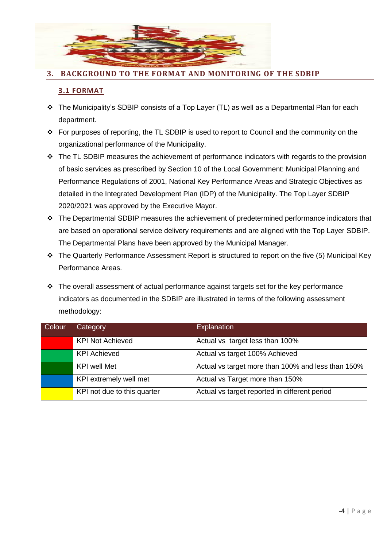

#### **3. BACKGROUND TO THE FORMAT AND MONITORING OF THE SDBIP**

#### **3.1 FORMAT**

- The Municipality's SDBIP consists of a Top Layer (TL) as well as a Departmental Plan for each department.
- \* For purposes of reporting, the TL SDBIP is used to report to Council and the community on the organizational performance of the Municipality.
- $\cdot \cdot$  The TL SDBIP measures the achievement of performance indicators with regards to the provision of basic services as prescribed by Section 10 of the Local Government: Municipal Planning and Performance Regulations of 2001, National Key Performance Areas and Strategic Objectives as detailed in the Integrated Development Plan (IDP) of the Municipality. The Top Layer SDBIP 2020/2021 was approved by the Executive Mayor.
- \* The Departmental SDBIP measures the achievement of predetermined performance indicators that are based on operational service delivery requirements and are aligned with the Top Layer SDBIP. The Departmental Plans have been approved by the Municipal Manager.
- \* The Quarterly Performance Assessment Report is structured to report on the five (5) Municipal Key Performance Areas.
- \* The overall assessment of actual performance against targets set for the key performance indicators as documented in the SDBIP are illustrated in terms of the following assessment methodology:

| Colour | Category                    | <b>Explanation</b>                                 |
|--------|-----------------------------|----------------------------------------------------|
|        | <b>KPI Not Achieved</b>     | Actual vs target less than 100%                    |
|        | <b>KPI Achieved</b>         | Actual vs target 100% Achieved                     |
|        | <b>KPI well Met</b>         | Actual vs target more than 100% and less than 150% |
|        | KPI extremely well met      | Actual vs Target more than 150%                    |
|        | KPI not due to this quarter | Actual vs target reported in different period      |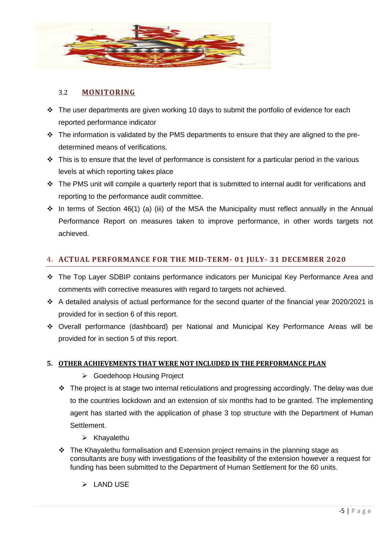

#### 3.2 **MONITORING**

- $\cdot \cdot$  The user departments are given working 10 days to submit the portfolio of evidence for each reported performance indicator
- $\cdot \cdot$  The information is validated by the PMS departments to ensure that they are aligned to the predetermined means of verifications.
- $\cdot \cdot$  This is to ensure that the level of performance is consistent for a particular period in the various levels at which reporting takes place
- The PMS unit will compile a quarterly report that is submitted to internal audit for verifications and reporting to the performance audit committee.
- $\cdot \cdot$  In terms of Section 46(1) (a) (iii) of the MSA the Municipality must reflect annually in the Annual Performance Report on measures taken to improve performance, in other words targets not achieved.

#### 4. **ACTUAL PERFORMANCE FOR THE MID-TERM- 01 JULY- 31 DECEMBER 2020**

- The Top Layer SDBIP contains performance indicators per Municipal Key Performance Area and comments with corrective measures with regard to targets not achieved.
- A detailed analysis of actual performance for the second quarter of the financial year 2020/2021 is provided for in section 6 of this report.
- Overall performance (dashboard) per National and Municipal Key Performance Areas will be provided for in section 5 of this report.

#### **5. OTHER ACHIEVEMENTS THAT WERE NOT INCLUDED IN THE PERFORMANCE PLAN**

- Goedehoop Housing Project
- The project is at stage two internal reticulations and progressing accordingly. The delay was due to the countries lockdown and an extension of six months had to be granted. The implementing agent has started with the application of phase 3 top structure with the Department of Human **Settlement** 
	- $\triangleright$  Khayalethu
- $\div$  The Khayalethu formalisation and Extension project remains in the planning stage as consultants are busy with investigations of the feasibility of the extension however a request for funding has been submitted to the Department of Human Settlement for the 60 units.
	- $\triangleright$  LAND USE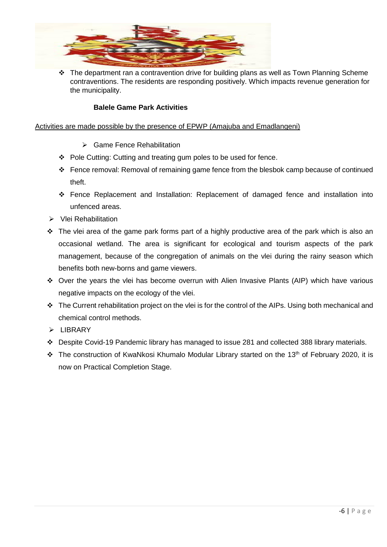

 $\div$  The department ran a contravention drive for building plans as well as Town Planning Scheme contraventions. The residents are responding positively. Which impacts revenue generation for the municipality.

#### **Balele Game Park Activities**

#### Activities are made possible by the presence of EPWP (Amajuba and Emadlangeni)

- ▶ Game Fence Rehabilitation
- Pole Cutting: Cutting and treating gum poles to be used for fence.
- Fence removal: Removal of remaining game fence from the blesbok camp because of continued theft.
- Fence Replacement and Installation: Replacement of damaged fence and installation into unfenced areas.
- $\triangleright$  Vlei Rehabilitation
- The vlei area of the game park forms part of a highly productive area of the park which is also an occasional wetland. The area is significant for ecological and tourism aspects of the park management, because of the congregation of animals on the vlei during the rainy season which benefits both new-borns and game viewers.
- Over the years the vlei has become overrun with Alien Invasive Plants (AIP) which have various negative impacts on the ecology of the vlei.
- \* The Current rehabilitation project on the vlei is for the control of the AIPs. Using both mechanical and chemical control methods.
- $\triangleright$  LIBRARY
- Despite Covid-19 Pandemic library has managed to issue 281 and collected 388 library materials.
- $\cdot$  The construction of KwaNkosi Khumalo Modular Library started on the 13<sup>th</sup> of February 2020, it is now on Practical Completion Stage.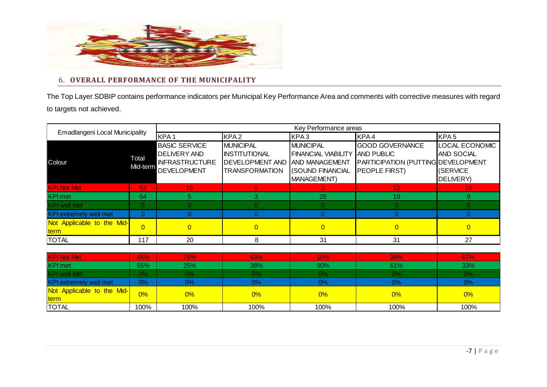

#### 6. **OVERALL PERFORMANCE OF THE MUNICIPALITY**

The Top Layer SDBIP contains performance indicators per Municipal Key Performance Area and comments with corrective measures with regard to targets not achieved.

| Emadlangeni Local Municipality     |                   | Key Performance areas                                                                      |                                                                                             |                                                                                                                   |                                                                                                           |                                                       |
|------------------------------------|-------------------|--------------------------------------------------------------------------------------------|---------------------------------------------------------------------------------------------|-------------------------------------------------------------------------------------------------------------------|-----------------------------------------------------------------------------------------------------------|-------------------------------------------------------|
|                                    |                   | KPA <sub>1</sub>                                                                           | KPA <sub>2</sub>                                                                            | KPA3                                                                                                              | KPA4                                                                                                      | KPA <sub>5</sub>                                      |
| Colour                             | Total<br>Mid-term | <b>BASIC SERVICE</b><br><b>DELIVERY AND</b><br><b>INFRASTRUCTURE</b><br><b>DEVELOPMENT</b> | <b>MUNICIPAL</b><br><b>INSTITUTIONAL</b><br><b>DEVELOPMENT AND</b><br><b>TRANSFORMATION</b> | <b>MUNICIPAL</b><br><b>FINANCIAL VIABILITY</b><br><b>AND MANAGEMENT</b><br>(SOUND FINANCIAL<br><b>MANAGEMENT)</b> | <b>GOOD GOVERNANCE</b><br><b>AND PUBLIC</b><br>PARTICIPATION (PUTTING DEVELOPMENT<br><b>PEOPLE FIRST)</b> | LOCAL ECONOMIC<br>AND SOCIAL<br>(SERVICE<br>DELIVERY) |
| <b>KPI Not Met</b>                 | 53                | 15 <sub>1</sub>                                                                            | 5                                                                                           | 3                                                                                                                 | 12                                                                                                        | 18                                                    |
| <b>KPI</b> met                     | 64                | 5                                                                                          | 3                                                                                           | 28                                                                                                                | 19                                                                                                        | 9                                                     |
| <b>KPI</b> well Met                | 0.                | $\Omega$                                                                                   | $\Omega$                                                                                    | $\Omega$                                                                                                          | $\Omega$                                                                                                  | $\Omega$                                              |
| <b>KPI</b> extremely well met      | $\overline{0}$    | $\Omega$                                                                                   | $\overline{0}$                                                                              | $\Omega$                                                                                                          | $\overline{0}$                                                                                            | $\Omega$                                              |
| Not Applicable to the Mid-<br>term | $\Omega$          | $\overline{0}$                                                                             | $\overline{0}$                                                                              | $\overline{0}$                                                                                                    | $\overline{0}$                                                                                            | $\overline{0}$                                        |
| <b>TOTAL</b>                       | 117               | 20                                                                                         | 8                                                                                           | 31                                                                                                                | 31                                                                                                        | 27                                                    |
|                                    |                   |                                                                                            |                                                                                             |                                                                                                                   |                                                                                                           |                                                       |
| <b>KPI Not Met</b>                 | 45%               | 75%                                                                                        | 63%                                                                                         | 10%                                                                                                               | 39%                                                                                                       | 67%                                                   |
| <b>KPI</b> met                     | 55%               | 25%                                                                                        | 38%                                                                                         | 90%                                                                                                               | 61%                                                                                                       | 33%                                                   |
| <b>KPI</b> well Met                | $0\%$             | $0\%$                                                                                      | $0\%$                                                                                       | $0\%$                                                                                                             | $0\%$                                                                                                     | $0\%$                                                 |
| <b>KPI</b> extremely well met      | 0%                | 0%                                                                                         | $0\%$                                                                                       | 0%                                                                                                                | $0\%$                                                                                                     | $0\%$                                                 |
| Not Applicable to the Mid-<br>term | 0%                | 0%                                                                                         | 0%                                                                                          | 0%                                                                                                                | $0\%$                                                                                                     | $0\%$                                                 |
| <b>TOTAL</b>                       | 100%              | 100%                                                                                       | 100%                                                                                        | 100%                                                                                                              | 100%                                                                                                      | 100%                                                  |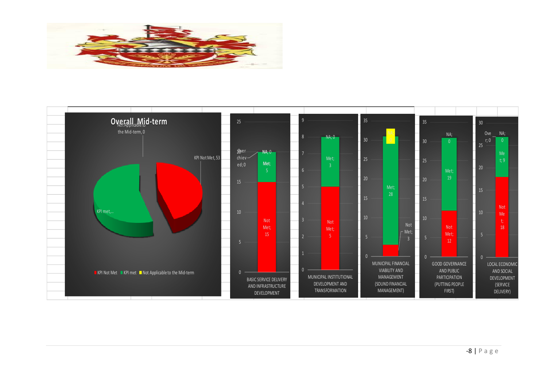